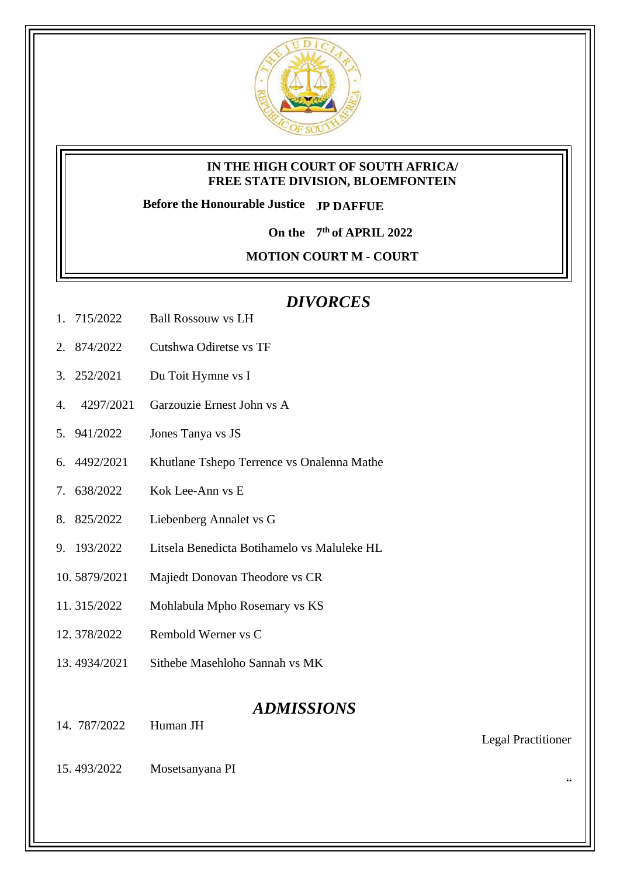

## **IN THE HIGH COURT OF SOUTH AFRICA/ FREE STATE DIVISION, BLOEMFONTEIN**

**Before the Honourable Justice JP DAFFUE**

**On the 7 th of APRIL 2022**

**MOTION COURT M - COURT** 

# *DIVORCES*

- 1. 715/2022 Ball Rossouw vs LH
- 2. 874/2022 Cutshwa Odiretse vs TF
- 3. 252/2021 Du Toit Hymne vs I
- 4. 4297/2021 Garzouzie Ernest John vs A
- 5. 941/2022 Jones Tanya vs JS
- 6. 4492/2021 Khutlane Tshepo Terrence vs Onalenna Mathe
- 7. 638/2022 Kok Lee-Ann vs E
- 8. 825/2022 Liebenberg Annalet vs G
- 9. 193/2022 Litsela Benedicta Botihamelo vs Maluleke HL
- 10. 5879/2021 Majiedt Donovan Theodore vs CR
- 11. 315/2022 Mohlabula Mpho Rosemary vs KS
- 12. 378/2022 Rembold Werner vs C
- 13. 4934/2021 Sithebe Masehloho Sannah vs MK

## *ADMISSIONS*

14. 787/2022 Human JH

Legal Practitioner

"

15. 493/2022 Mosetsanyana PI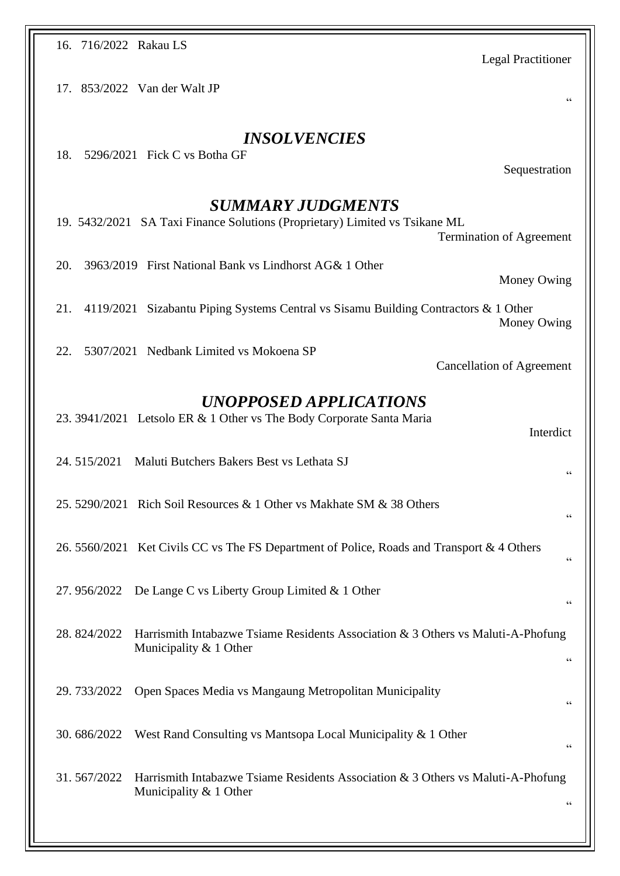| 16. 716/2022 Rakau LS<br><b>Legal Practitioner</b>                                                                                         |
|--------------------------------------------------------------------------------------------------------------------------------------------|
| 17. 853/2022 Van der Walt JP<br>66                                                                                                         |
| <i><b>INSOLVENCIES</b></i><br>5296/2021 Fick C vs Botha GF<br>18.<br>Sequestration                                                         |
| <b>SUMMARY JUDGMENTS</b><br>19. 5432/2021 SA Taxi Finance Solutions (Proprietary) Limited vs Tsikane ML<br><b>Termination of Agreement</b> |
| 3963/2019 First National Bank vs Lindhorst AG& 1 Other<br>20.<br>Money Owing                                                               |
| 21.<br>4119/2021 Sizabantu Piping Systems Central vs Sisamu Building Contractors & 1 Other<br>Money Owing                                  |
| 5307/2021 Nedbank Limited vs Mokoena SP<br>22.<br><b>Cancellation of Agreement</b>                                                         |
| UNOPPOSED APPLICATIONS<br>23. 3941/2021 Letsolo ER & 1 Other vs The Body Corporate Santa Maria<br>Interdict                                |
| 24.515/2021<br>Maluti Butchers Bakers Best vs Lethata SJ<br>66                                                                             |
| 25. 5290/2021 Rich Soil Resources & 1 Other vs Makhate SM & 38 Others                                                                      |
| 26. 5560/2021 Ket Civils CC vs The FS Department of Police, Roads and Transport & 4 Others<br>66                                           |
| De Lange C vs Liberty Group Limited & 1 Other<br>27.956/2022<br>$\zeta$ $\zeta$                                                            |
| 28.824/2022<br>Harrismith Intabazwe Tsiame Residents Association & 3 Others vs Maluti-A-Phofung<br>Municipality & 1 Other<br>66            |
| Open Spaces Media vs Mangaung Metropolitan Municipality<br>29.733/2022                                                                     |
| West Rand Consulting vs Mantsopa Local Municipality & 1 Other<br>30.686/2022                                                               |
| 31.567/2022<br>Harrismith Intabazwe Tsiame Residents Association & 3 Others vs Maluti-A-Phofung<br>Municipality & 1 Other<br>66            |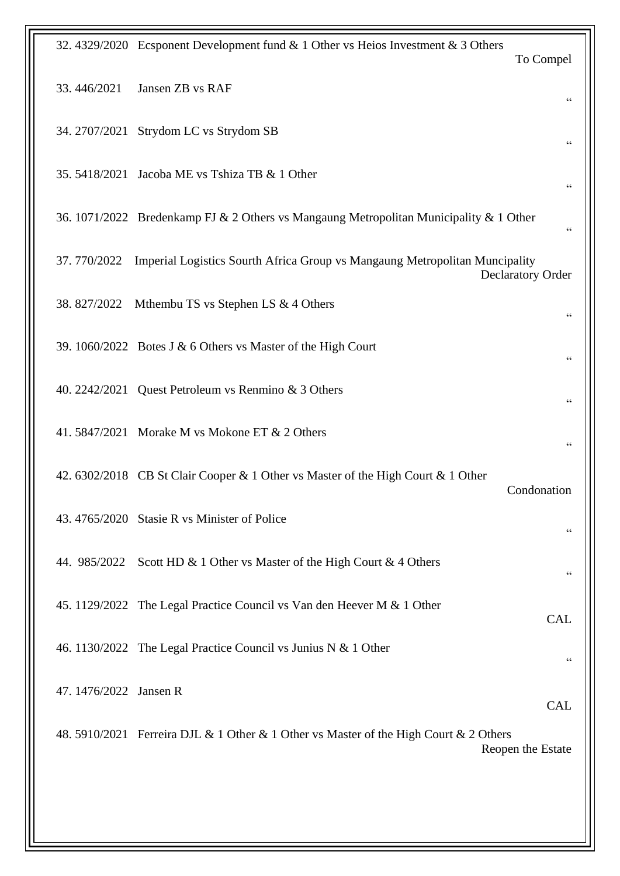| 32. 4329/2020 Ecsponent Development fund & 1 Other vs Heios Investment & 3 Others<br>To Compel                         |
|------------------------------------------------------------------------------------------------------------------------|
| 33.446/2021<br>Jansen ZB vs RAF<br>66                                                                                  |
| 34. 2707/2021 Strydom LC vs Strydom SB<br>66                                                                           |
| Jacoba ME vs Tshiza TB & 1 Other<br>35.5418/2021<br>$\zeta$ $\zeta$                                                    |
| 36. 1071/2022 Bredenkamp FJ & 2 Others vs Mangaung Metropolitan Municipality & 1 Other<br>66                           |
| Imperial Logistics Sourth Africa Group vs Mangaung Metropolitan Muncipality<br>37.770/2022<br><b>Declaratory Order</b> |
| 38.827/2022<br>Mthembu TS vs Stephen LS & 4 Others<br>66                                                               |
| 39. 1060/2022 Botes J & 6 Others vs Master of the High Court<br>66                                                     |
| 40. 2242/2021 Quest Petroleum vs Renmino & 3 Others<br>66                                                              |
| 41. 5847/2021 Morake M vs Mokone ET & 2 Others<br>66                                                                   |
| 42. 6302/2018 CB St Clair Cooper & 1 Other vs Master of the High Court & 1 Other<br>Condonation                        |
| 43.4765/2020 Stasie R vs Minister of Police<br>66                                                                      |
| 44. 985/2022 Scott HD & 1 Other vs Master of the High Court & 4 Others<br>66                                           |
| 45. 1129/2022 The Legal Practice Council vs Van den Heever M & 1 Other<br><b>CAL</b>                                   |
| 46. 1130/2022 The Legal Practice Council vs Junius N & 1 Other<br>66                                                   |
| 47. 1476/2022 Jansen R<br><b>CAL</b>                                                                                   |
| 48. 5910/2021 Ferreira DJL & 1 Other & 1 Other vs Master of the High Court & 2 Others<br>Reopen the Estate             |
|                                                                                                                        |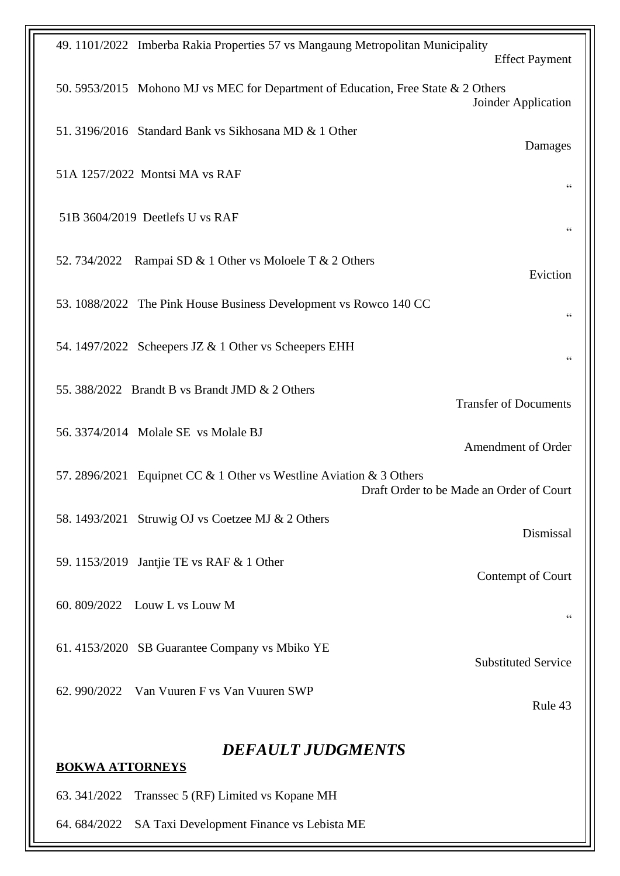| 49. 1101/2022 Imberba Rakia Properties 57 vs Mangaung Metropolitan Municipality<br><b>Effect Payment</b>        |  |
|-----------------------------------------------------------------------------------------------------------------|--|
| 50. 5953/2015 Mohono MJ vs MEC for Department of Education, Free State & 2 Others<br>Joinder Application        |  |
| 51. 3196/2016 Standard Bank vs Sikhosana MD & 1 Other<br>Damages                                                |  |
| 51A 1257/2022 Montsi MA vs RAF<br>66                                                                            |  |
| 51B 3604/2019 Deetlefs U vs RAF                                                                                 |  |
| 52. 734/2022 Rampai SD & 1 Other vs Moloele T & 2 Others<br>Eviction                                            |  |
| 53. 1088/2022 The Pink House Business Development vs Rowco 140 CC<br>$\zeta$ $\zeta$                            |  |
| 54. 1497/2022 Scheepers JZ & 1 Other vs Scheepers EHH<br>$\zeta$ $\zeta$                                        |  |
| 55. 388/2022 Brandt B vs Brandt JMD & 2 Others<br><b>Transfer of Documents</b>                                  |  |
| 56. 3374/2014 Molale SE vs Molale BJ<br>Amendment of Order                                                      |  |
| 57. 2896/2021 Equipnet CC & 1 Other vs Westline Aviation & 3 Others<br>Draft Order to be Made an Order of Court |  |
| 58. 1493/2021 Struwig OJ vs Coetzee MJ & 2 Others<br>Dismissal                                                  |  |
| 59. 1153/2019 Jantjie TE vs RAF & 1 Other<br>Contempt of Court                                                  |  |
| 60. 809/2022 Louw L vs Louw M<br>66                                                                             |  |
| 61. 4153/2020 SB Guarantee Company vs Mbiko YE<br><b>Substituted Service</b>                                    |  |
| 62. 990/2022 Van Vuuren F vs Van Vuuren SWP<br>Rule 43                                                          |  |
| <b>DEFAULT JUDGMENTS</b><br><b>BOKWA ATTORNEYS</b>                                                              |  |
| Transsec 5 (RF) Limited vs Kopane MH<br>63.341/2022                                                             |  |
| 64.684/2022<br>SA Taxi Development Finance vs Lebista ME                                                        |  |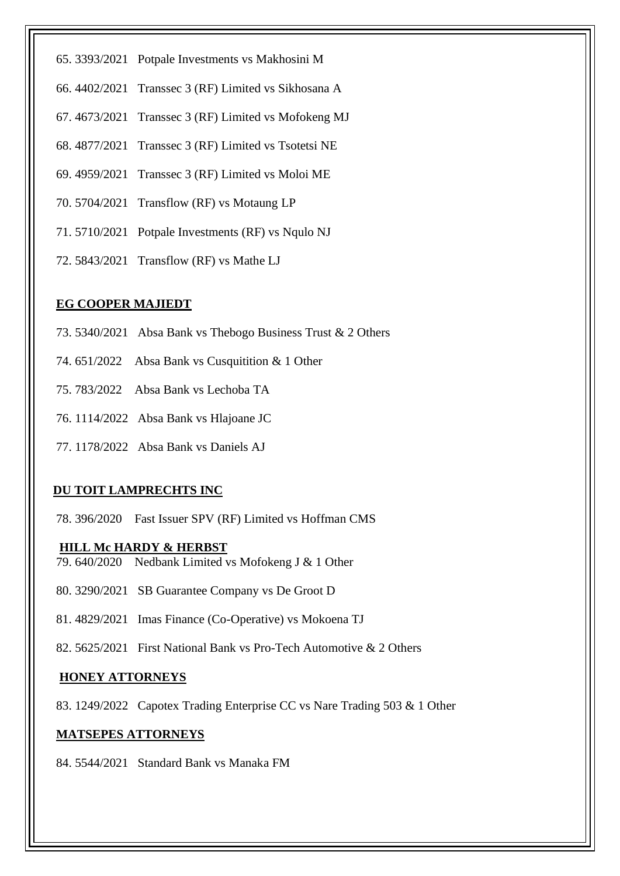- 65. 3393/2021 Potpale Investments vs Makhosini M
- 66. 4402/2021 Transsec 3 (RF) Limited vs Sikhosana A
- 67. 4673/2021 Transsec 3 (RF) Limited vs Mofokeng MJ
- 68. 4877/2021 Transsec 3 (RF) Limited vs Tsotetsi NE
- 69. 4959/2021 Transsec 3 (RF) Limited vs Moloi ME
- 70. 5704/2021 Transflow (RF) vs Motaung LP
- 71. 5710/2021 Potpale Investments (RF) vs Nqulo NJ
- 72. 5843/2021 Transflow (RF) vs Mathe LJ

## **EG COOPER MAJIEDT**

- 73. 5340/2021 Absa Bank vs Thebogo Business Trust & 2 Others
- 74. 651/2022 Absa Bank vs Cusquitition & 1 Other
- 75. 783/2022 Absa Bank vs Lechoba TA
- 76. 1114/2022 Absa Bank vs Hlajoane JC
- 77. 1178/2022 Absa Bank vs Daniels AJ

#### **DU TOIT LAMPRECHTS INC**

78. 396/2020 Fast Issuer SPV (RF) Limited vs Hoffman CMS

#### **HILL Mc HARDY & HERBST**

- 79. 640/2020 Nedbank Limited vs Mofokeng J & 1 Other
- 80. 3290/2021 SB Guarantee Company vs De Groot D
- 81. 4829/2021 Imas Finance (Co-Operative) vs Mokoena TJ
- 82. 5625/2021 First National Bank vs Pro-Tech Automotive & 2 Others

#### **HONEY ATTORNEYS**

83. 1249/2022 Capotex Trading Enterprise CC vs Nare Trading 503 & 1 Other

## **MATSEPES ATTORNEYS**

84. 5544/2021 Standard Bank vs Manaka FM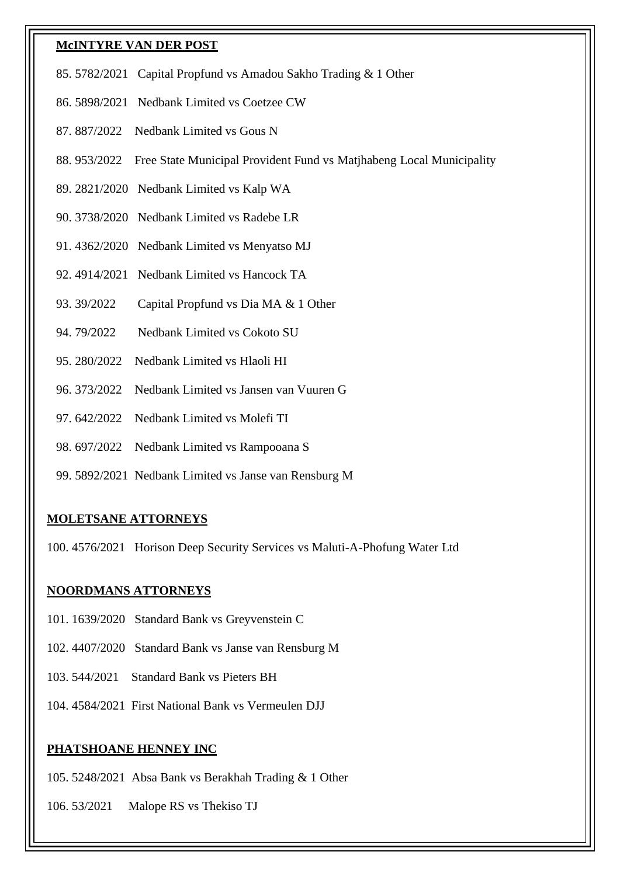#### **McINTYRE VAN DER POST**

- 85. 5782/2021 Capital Propfund vs Amadou Sakho Trading & 1 Other
- 86. 5898/2021 Nedbank Limited vs Coetzee CW
- 87. 887/2022 Nedbank Limited vs Gous N
- 88. 953/2022 Free State Municipal Provident Fund vs Matjhabeng Local Municipality
- 89. 2821/2020 Nedbank Limited vs Kalp WA
- 90. 3738/2020 Nedbank Limited vs Radebe LR
- 91. 4362/2020 Nedbank Limited vs Menyatso MJ
- 92. 4914/2021 Nedbank Limited vs Hancock TA
- 93. 39/2022 Capital Propfund vs Dia MA & 1 Other
- 94. 79/2022 Nedbank Limited vs Cokoto SU
- 95. 280/2022 Nedbank Limited vs Hlaoli HI
- 96. 373/2022 Nedbank Limited vs Jansen van Vuuren G
- 97. 642/2022 Nedbank Limited vs Molefi TI
- 98. 697/2022 Nedbank Limited vs Rampooana S
- 99. 5892/2021 Nedbank Limited vs Janse van Rensburg M

#### **MOLETSANE ATTORNEYS**

100. 4576/2021 Horison Deep Security Services vs Maluti-A-Phofung Water Ltd

#### **NOORDMANS ATTORNEYS**

- 101. 1639/2020 Standard Bank vs Greyvenstein C
- 102. 4407/2020 Standard Bank vs Janse van Rensburg M
- 103. 544/2021 Standard Bank vs Pieters BH
- 104. 4584/2021 First National Bank vs Vermeulen DJJ

#### **PHATSHOANE HENNEY INC**

- 105. 5248/2021 Absa Bank vs Berakhah Trading & 1 Other
- 106. 53/2021 Malope RS vs Thekiso TJ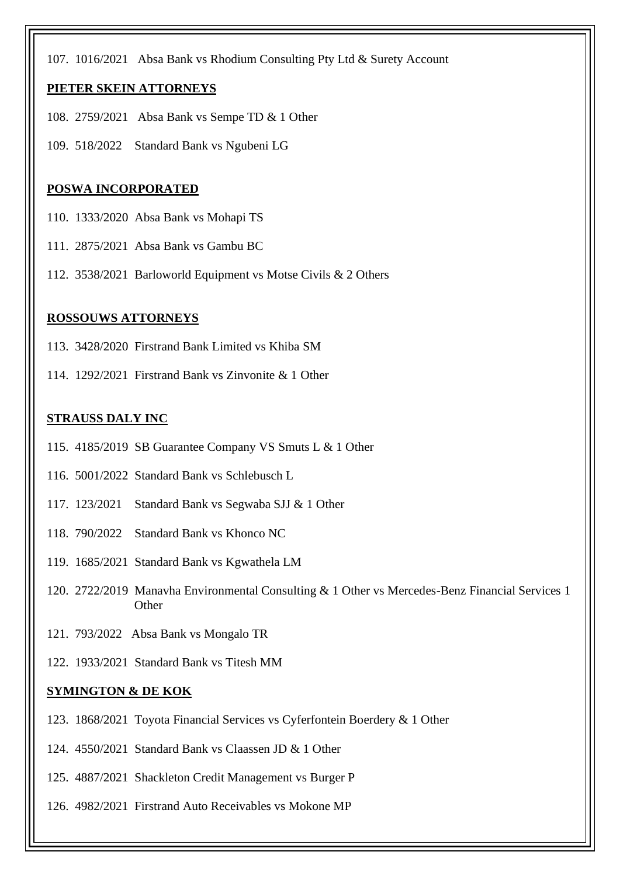107. 1016/2021 Absa Bank vs Rhodium Consulting Pty Ltd & Surety Account

#### **PIETER SKEIN ATTORNEYS**

- 108. 2759/2021 Absa Bank vs Sempe TD & 1 Other
- 109. 518/2022 Standard Bank vs Ngubeni LG

#### **POSWA INCORPORATED**

- 110. 1333/2020 Absa Bank vs Mohapi TS
- 111. 2875/2021 Absa Bank vs Gambu BC
- 112. 3538/2021 Barloworld Equipment vs Motse Civils & 2 Others

#### **ROSSOUWS ATTORNEYS**

- 113. 3428/2020 Firstrand Bank Limited vs Khiba SM
- 114. 1292/2021 Firstrand Bank vs Zinvonite & 1 Other

## **STRAUSS DALY INC**

- 115. 4185/2019 SB Guarantee Company VS Smuts L & 1 Other
- 116. 5001/2022 Standard Bank vs Schlebusch L
- 117. 123/2021 Standard Bank vs Segwaba SJJ & 1 Other
- 118. 790/2022 Standard Bank vs Khonco NC
- 119. 1685/2021 Standard Bank vs Kgwathela LM
- 120. 2722/2019 Manavha Environmental Consulting & 1 Other vs Mercedes-Benz Financial Services 1 **Other**
- 121. 793/2022 Absa Bank vs Mongalo TR
- 122. 1933/2021 Standard Bank vs Titesh MM

#### **SYMINGTON & DE KOK**

- 123. 1868/2021 Toyota Financial Services vs Cyferfontein Boerdery & 1 Other
- 124. 4550/2021 Standard Bank vs Claassen JD & 1 Other
- 125. 4887/2021 Shackleton Credit Management vs Burger P
- 126. 4982/2021 Firstrand Auto Receivables vs Mokone MP